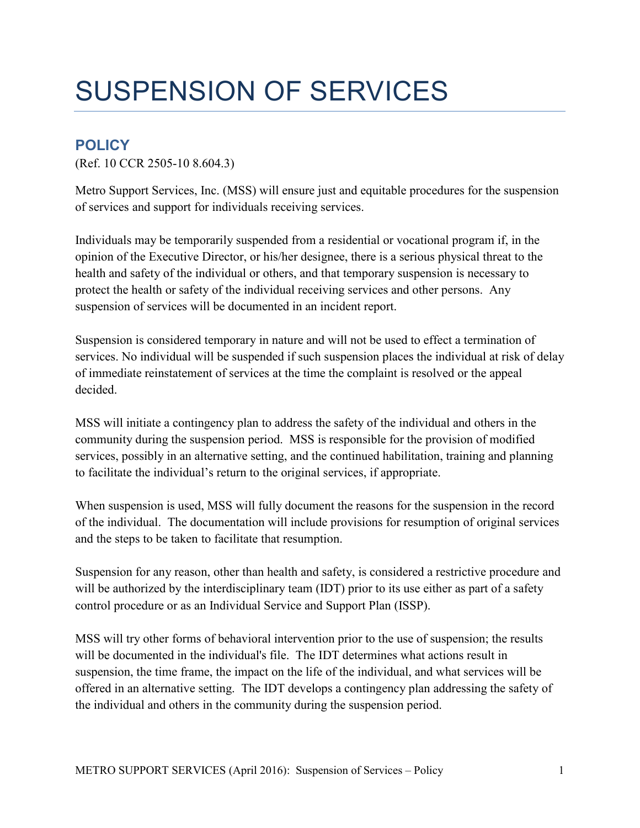## SUSPENSION OF SERVICES

## **POLICY**

(Ref. 10 CCR 2505-10 8.604.3)

Metro Support Services, Inc. (MSS) will ensure just and equitable procedures for the suspension of services and support for individuals receiving services.

Individuals may be temporarily suspended from a residential or vocational program if, in the opinion of the Executive Director, or his/her designee, there is a serious physical threat to the health and safety of the individual or others, and that temporary suspension is necessary to protect the health or safety of the individual receiving services and other persons. Any suspension of services will be documented in an incident report.

Suspension is considered temporary in nature and will not be used to effect a termination of services. No individual will be suspended if such suspension places the individual at risk of delay of immediate reinstatement of services at the time the complaint is resolved or the appeal decided.

MSS will initiate a contingency plan to address the safety of the individual and others in the community during the suspension period. MSS is responsible for the provision of modified services, possibly in an alternative setting, and the continued habilitation, training and planning to facilitate the individual's return to the original services, if appropriate.

When suspension is used, MSS will fully document the reasons for the suspension in the record of the individual. The documentation will include provisions for resumption of original services and the steps to be taken to facilitate that resumption.

Suspension for any reason, other than health and safety, is considered a restrictive procedure and will be authorized by the interdisciplinary team (IDT) prior to its use either as part of a safety control procedure or as an Individual Service and Support Plan (ISSP).

MSS will try other forms of behavioral intervention prior to the use of suspension; the results will be documented in the individual's file. The IDT determines what actions result in suspension, the time frame, the impact on the life of the individual, and what services will be offered in an alternative setting. The IDT develops a contingency plan addressing the safety of the individual and others in the community during the suspension period.